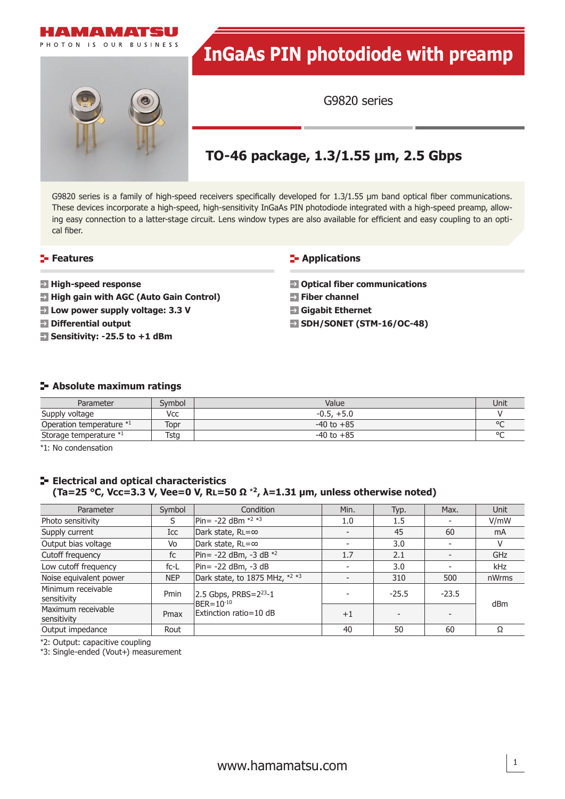



# **InGaAs PIN photodiode with preamp**

G9820 series

### **TO-46 package, 1.3/1.55 µm, 2.5 Gbps**

G9820 series is a family of high-speed receivers specifically developed for  $1.3/1.55$  µm band optical fiber communications. These devices incorporate a high-speed, high-sensitivity InGaAs PIN photodiode integrated with a high-speed preamp, allowing easy connection to a latter-stage circuit. Lens window types are also available for efficient and easy coupling to an optical fiber.

#### **Features**

- **High-speed response**
- **E** High gain with AGC (Auto Gain Control)
- **Low power supply voltage: 3.3 V**
- **Differential output**
- **Sensitivity: -25.5 to +1 dBm**

#### **Applications**

 **Optical fiber communications Fiber channel Gigabit Ethernet SDH/SONET (STM-16/OC-48)**

#### **Absolute maximum ratings**

| Parameter                | Svmbol | Value          | Unit    |
|--------------------------|--------|----------------|---------|
| Supply voltage           | Vcc    | $-0.5, +5.0$   |         |
| Operation temperature *1 | Topr   | $-40$ to $+85$ | $\circ$ |
| Storage temperature *1   | Tstg   | $-40$ to $+85$ | $\circ$ |

\*1: No condensation

#### **E- Electrical and optical characteristics (Ta=25 °C, Vcc=3.3 V, Vee=0 V, RL=50 Ω** \***<sup>2</sup>, λ=1.31 µm, unless otherwise noted)**

| Parameter                         | Symbol     | Condition                                                                    | Min. | Typ.    | Max.                     | Unit  |
|-----------------------------------|------------|------------------------------------------------------------------------------|------|---------|--------------------------|-------|
| Photo sensitivity                 | S          | $ Pin = -22$ dBm $*^{2} *^{3}$                                               | 1.0  | 1.5     | ۰                        | V/mW  |
| Supply current                    | Icc        | Dark state, $RL = \infty$                                                    |      | 45      | 60                       | mA    |
| Output bias voltage               | Vo         | Dark state, RL=∞                                                             |      | 3.0     | $\overline{\phantom{a}}$ |       |
| Cutoff frequency                  | fc         | Pin= -22 dBm, -3 dB $*^2$                                                    | 1.7  | 2.1     | $\overline{\phantom{0}}$ | GHz   |
| Low cutoff frequency              | $fc-L$     | $ Pin = -22$ dBm, $-3$ dB                                                    |      | 3.0     |                          | kHz   |
| Noise equivalent power            | <b>NEP</b> | Dark state, to 1875 MHz, *2 *3                                               |      | 310     | 500                      | nWrms |
| Minimum receivable<br>sensitivity | Pmin       | $ 2.5$ Gbps, PRBS= $2^{23}$ -1<br>$BER = 10^{-10}$<br>Extinction ratio=10 dB |      | $-25.5$ | $-23.5$                  | dBm   |
| Maximum receivable<br>sensitivity | Pmax       |                                                                              | $+1$ |         |                          |       |
| Output impedance                  | Rout       |                                                                              | 40   | 50      | 60                       | Ω     |

\*2: Output: capacitive coupling

\*3: Single-ended (Vout+) measurement